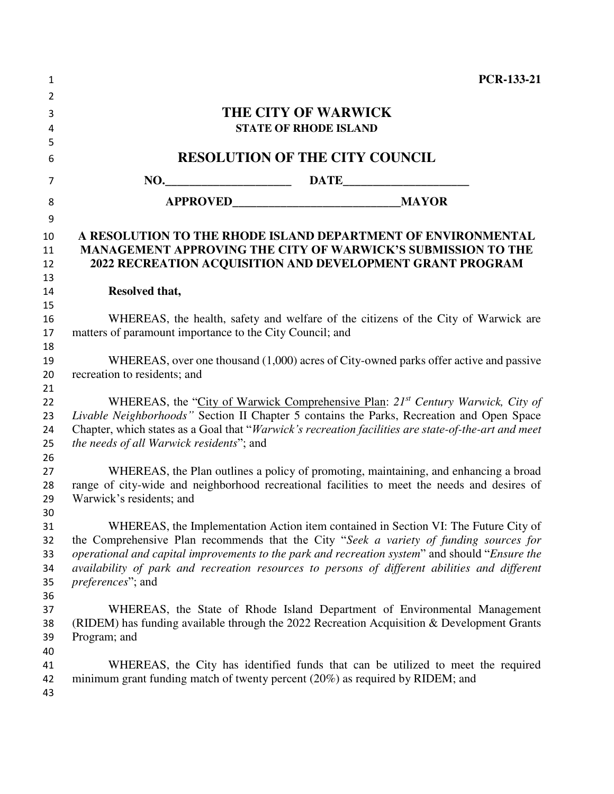| 1        | <b>PCR-133-21</b>                                                                                                                                                 |  |  |
|----------|-------------------------------------------------------------------------------------------------------------------------------------------------------------------|--|--|
| 2        |                                                                                                                                                                   |  |  |
| 3        | THE CITY OF WARWICK                                                                                                                                               |  |  |
| 4        | <b>STATE OF RHODE ISLAND</b>                                                                                                                                      |  |  |
| 5        |                                                                                                                                                                   |  |  |
| 6        | <b>RESOLUTION OF THE CITY COUNCIL</b>                                                                                                                             |  |  |
| 7        |                                                                                                                                                                   |  |  |
| 8        |                                                                                                                                                                   |  |  |
| 9        |                                                                                                                                                                   |  |  |
| 10       | A RESOLUTION TO THE RHODE ISLAND DEPARTMENT OF ENVIRONMENTAL                                                                                                      |  |  |
| 11       | MANAGEMENT APPROVING THE CITY OF WARWICK'S SUBMISSION TO THE                                                                                                      |  |  |
| 12       | 2022 RECREATION ACQUISITION AND DEVELOPMENT GRANT PROGRAM                                                                                                         |  |  |
| 13       |                                                                                                                                                                   |  |  |
| 14       | Resolved that,                                                                                                                                                    |  |  |
| 15       |                                                                                                                                                                   |  |  |
| 16       | WHEREAS, the health, safety and welfare of the citizens of the City of Warwick are                                                                                |  |  |
| 17       | matters of paramount importance to the City Council; and                                                                                                          |  |  |
| 18       |                                                                                                                                                                   |  |  |
| 19       | WHEREAS, over one thousand (1,000) acres of City-owned parks offer active and passive                                                                             |  |  |
| 20       | recreation to residents; and                                                                                                                                      |  |  |
| 21       |                                                                                                                                                                   |  |  |
| 22       | WHEREAS, the "City of Warwick Comprehensive Plan: 21 <sup>st</sup> Century Warwick, City of                                                                       |  |  |
| 23       | Livable Neighborhoods" Section II Chapter 5 contains the Parks, Recreation and Open Space                                                                         |  |  |
| 24       | Chapter, which states as a Goal that "Warwick's recreation facilities are state-of-the-art and meet                                                               |  |  |
| 25<br>26 | the needs of all Warwick residents"; and                                                                                                                          |  |  |
| 27       | WHEREAS, the Plan outlines a policy of promoting, maintaining, and enhancing a broad                                                                              |  |  |
| 28       | range of city-wide and neighborhood recreational facilities to meet the needs and desires of                                                                      |  |  |
| 29       | Warwick's residents; and                                                                                                                                          |  |  |
| 30       |                                                                                                                                                                   |  |  |
| 31       | WHEREAS, the Implementation Action item contained in Section VI: The Future City of                                                                               |  |  |
| 32       | the Comprehensive Plan recommends that the City "Seek a variety of funding sources for                                                                            |  |  |
| 33       | operational and capital improvements to the park and recreation system" and should "Ensure the                                                                    |  |  |
| 34       | availability of park and recreation resources to persons of different abilities and different                                                                     |  |  |
| 35       | <i>preferences</i> "; and                                                                                                                                         |  |  |
| 36       |                                                                                                                                                                   |  |  |
| 37       | WHEREAS, the State of Rhode Island Department of Environmental Management                                                                                         |  |  |
| 38       | (RIDEM) has funding available through the 2022 Recreation Acquisition & Development Grants                                                                        |  |  |
| 39       | Program; and                                                                                                                                                      |  |  |
| 40       |                                                                                                                                                                   |  |  |
| 41       | WHEREAS, the City has identified funds that can be utilized to meet the required<br>minimum grant funding match of twenty percent (20%) as required by RIDEM; and |  |  |
| 42<br>43 |                                                                                                                                                                   |  |  |
|          |                                                                                                                                                                   |  |  |